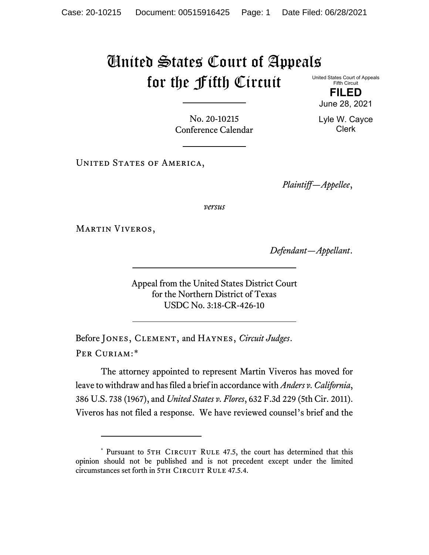## United States Court of Appeals for the Fifth Circuit United States Court of Appeals

Fifth Circuit **FILED**

June 28, 2021

Lyle W. Cayce Clerk

No. 20-10215 Conference Calendar

UNITED STATES OF AMERICA,

*Plaintiff—Appellee*,

*versus*

Martin Viveros,

*Defendant—Appellant*.

Appeal from the United States District Court for the Northern District of Texas USDC No. 3:18-CR-426-10

Before Jones, Clement, and Haynes, *Circuit Judges*. Per Curiam:[\\*](#page-0-0)

The attorney appointed to represent Martin Viveros has moved for leave to withdraw and has filed a brief in accordance with *Anders v. California*, 386 U.S. 738 (1967), and *United States v. Flores*, 632 F.3d 229 (5th Cir. 2011). Viveros has not filed a response. We have reviewed counsel's brief and the

<span id="page-0-0"></span><sup>\*</sup> Pursuant to 5TH CIRCUIT RULE 47.5, the court has determined that this opinion should not be published and is not precedent except under the limited circumstances set forth in 5TH CIRCUIT RULE 47.5.4.